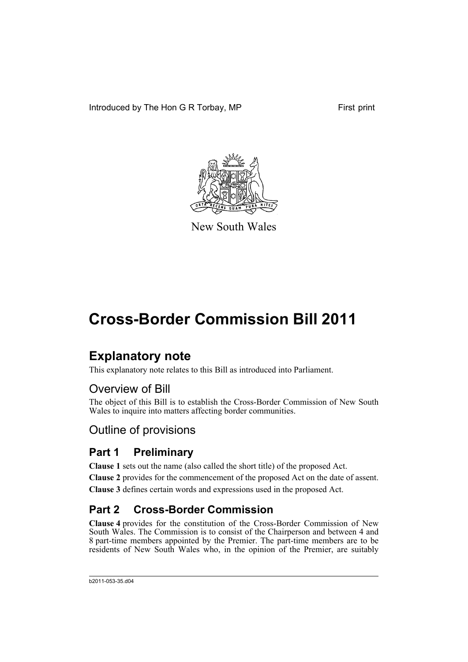Introduced by The Hon G R Torbay, MP First print



New South Wales

# **Cross-Border Commission Bill 2011**

## **Explanatory note**

This explanatory note relates to this Bill as introduced into Parliament.

### Overview of Bill

The object of this Bill is to establish the Cross-Border Commission of New South Wales to inquire into matters affecting border communities.

### Outline of provisions

### **Part 1 Preliminary**

**Clause 1** sets out the name (also called the short title) of the proposed Act.

**Clause 2** provides for the commencement of the proposed Act on the date of assent.

**Clause 3** defines certain words and expressions used in the proposed Act.

### **Part 2 Cross-Border Commission**

**Clause 4** provides for the constitution of the Cross-Border Commission of New South Wales. The Commission is to consist of the Chairperson and between 4 and 8 part-time members appointed by the Premier. The part-time members are to be residents of New South Wales who, in the opinion of the Premier, are suitably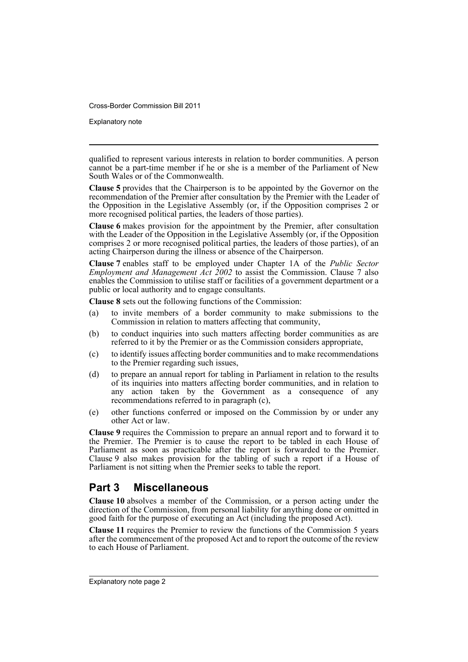Explanatory note

qualified to represent various interests in relation to border communities. A person cannot be a part-time member if he or she is a member of the Parliament of New South Wales or of the Commonwealth.

**Clause 5** provides that the Chairperson is to be appointed by the Governor on the recommendation of the Premier after consultation by the Premier with the Leader of the Opposition in the Legislative Assembly (or, if the Opposition comprises 2 or more recognised political parties, the leaders of those parties).

**Clause 6** makes provision for the appointment by the Premier, after consultation with the Leader of the Opposition in the Legislative Assembly (or, if the Opposition comprises 2 or more recognised political parties, the leaders of those parties), of an acting Chairperson during the illness or absence of the Chairperson.

**Clause 7** enables staff to be employed under Chapter 1A of the *Public Sector Employment and Management Act 2002* to assist the Commission. Clause 7 also enables the Commission to utilise staff or facilities of a government department or a public or local authority and to engage consultants.

**Clause 8** sets out the following functions of the Commission:

- (a) to invite members of a border community to make submissions to the Commission in relation to matters affecting that community,
- (b) to conduct inquiries into such matters affecting border communities as are referred to it by the Premier or as the Commission considers appropriate,
- (c) to identify issues affecting border communities and to make recommendations to the Premier regarding such issues,
- (d) to prepare an annual report for tabling in Parliament in relation to the results of its inquiries into matters affecting border communities, and in relation to any action taken by the Government as a consequence of any recommendations referred to in paragraph (c),
- (e) other functions conferred or imposed on the Commission by or under any other Act or law.

**Clause 9** requires the Commission to prepare an annual report and to forward it to the Premier. The Premier is to cause the report to be tabled in each House of Parliament as soon as practicable after the report is forwarded to the Premier. Clause 9 also makes provision for the tabling of such a report if a House of Parliament is not sitting when the Premier seeks to table the report.

### **Part 3 Miscellaneous**

**Clause 10** absolves a member of the Commission, or a person acting under the direction of the Commission, from personal liability for anything done or omitted in good faith for the purpose of executing an Act (including the proposed Act).

**Clause 11** requires the Premier to review the functions of the Commission 5 years after the commencement of the proposed Act and to report the outcome of the review to each House of Parliament.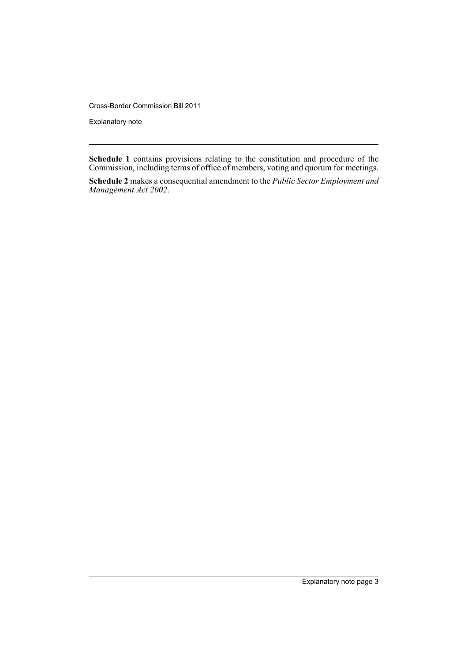Explanatory note

**Schedule 1** contains provisions relating to the constitution and procedure of the Commission, including terms of office of members, voting and quorum for meetings.

**Schedule 2** makes a consequential amendment to the *Public Sector Employment and Management Act 2002*.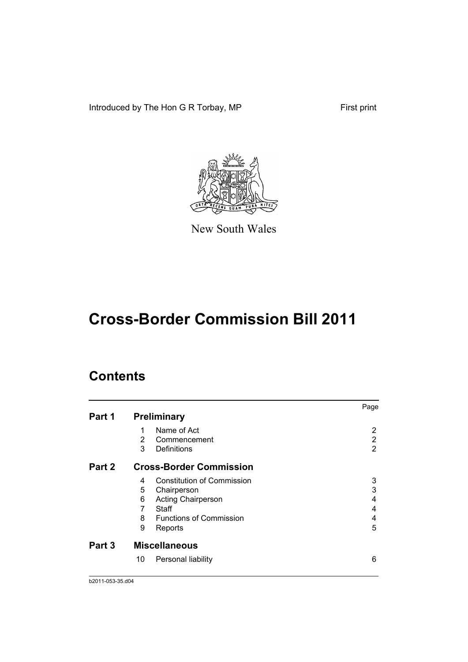Introduced by The Hon G R Torbay, MP First print



New South Wales

# **Cross-Border Commission Bill 2011**

### **Contents**

|        |    |                                   | Page |
|--------|----|-----------------------------------|------|
| Part 1 |    | <b>Preliminary</b>                |      |
|        | 1  | Name of Act                       | 2    |
|        | 2  | Commencement                      | 2    |
|        | 3  | Definitions                       | 2    |
| Part 2 |    | <b>Cross-Border Commission</b>    |      |
|        | 4  | <b>Constitution of Commission</b> | 3    |
|        | 5  | Chairperson                       | 3    |
|        | 6  | <b>Acting Chairperson</b>         | 4    |
|        | 7  | Staff                             | 4    |
|        | 8  | <b>Functions of Commission</b>    | 4    |
|        | 9  | Reports                           | 5    |
| Part 3 |    | <b>Miscellaneous</b>              |      |
|        | 10 | Personal liability                | 6    |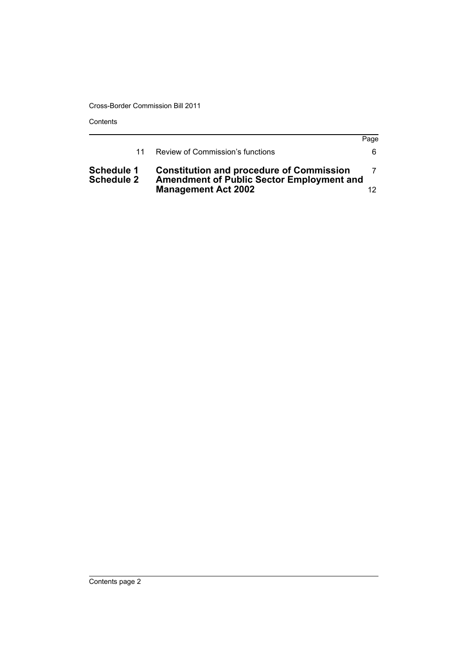Contents

|                                        |                                                                                                     | Page |
|----------------------------------------|-----------------------------------------------------------------------------------------------------|------|
| 11                                     | Review of Commission's functions                                                                    | 6.   |
| <b>Schedule 1</b><br><b>Schedule 2</b> | <b>Constitution and procedure of Commission</b><br><b>Amendment of Public Sector Employment and</b> |      |
|                                        | <b>Management Act 2002</b>                                                                          |      |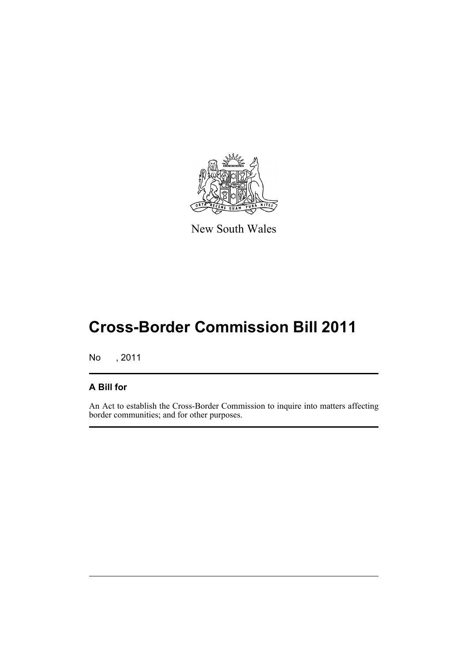

New South Wales

# **Cross-Border Commission Bill 2011**

No , 2011

### **A Bill for**

An Act to establish the Cross-Border Commission to inquire into matters affecting border communities; and for other purposes.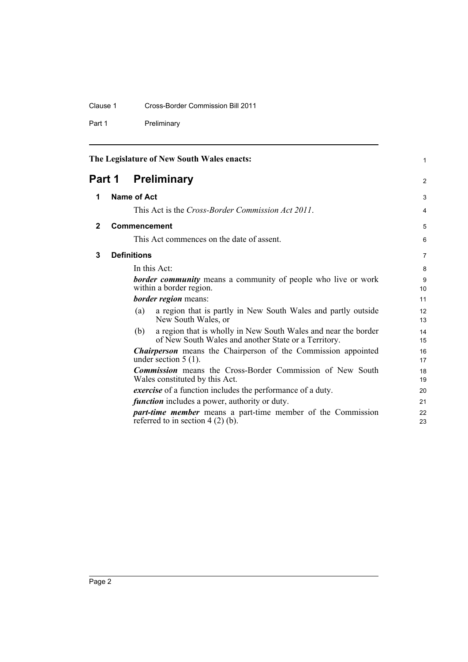### Clause 1 Cross-Border Commission Bill 2011

Part 1 Preliminary

<span id="page-7-3"></span><span id="page-7-2"></span><span id="page-7-1"></span><span id="page-7-0"></span>

| The Legislature of New South Wales enacts: |                                                      |                    | $\mathbf{1}$                                                                                                           |                |
|--------------------------------------------|------------------------------------------------------|--------------------|------------------------------------------------------------------------------------------------------------------------|----------------|
| <b>Preliminary</b><br>Part 1               |                                                      | 2                  |                                                                                                                        |                |
| 1                                          |                                                      | <b>Name of Act</b> |                                                                                                                        | 3              |
|                                            |                                                      |                    | This Act is the <i>Cross-Border Commission Act 2011</i> .                                                              | 4              |
| $\overline{2}$                             |                                                      |                    | Commencement                                                                                                           | 5              |
|                                            |                                                      |                    | This Act commences on the date of assent.                                                                              | 6              |
| 3                                          |                                                      | <b>Definitions</b> |                                                                                                                        | $\overline{7}$ |
|                                            |                                                      |                    | In this Act:                                                                                                           | 8              |
|                                            |                                                      |                    | <b>border community</b> means a community of people who live or work<br>within a border region.                        | 9<br>10        |
|                                            |                                                      |                    | <b>border region</b> means:                                                                                            | 11             |
|                                            |                                                      | (a)                | a region that is partly in New South Wales and partly outside<br>New South Wales, or                                   | 12<br>13       |
|                                            |                                                      | (b)                | a region that is wholly in New South Wales and near the border<br>of New South Wales and another State or a Territory. | 14<br>15       |
|                                            |                                                      |                    | <b>Chairperson</b> means the Chairperson of the Commission appointed<br>under section $5(1)$ .                         | 16<br>17       |
|                                            |                                                      |                    | <b>Commission</b> means the Cross-Border Commission of New South<br>Wales constituted by this Act.                     | 18<br>19       |
|                                            |                                                      |                    | <i>exercise</i> of a function includes the performance of a duty.                                                      | 20             |
|                                            | <i>function</i> includes a power, authority or duty. |                    |                                                                                                                        | 21             |
|                                            |                                                      |                    | <i>part-time member</i> means a part-time member of the Commission<br>referred to in section $4(2)$ (b).               | 22<br>23       |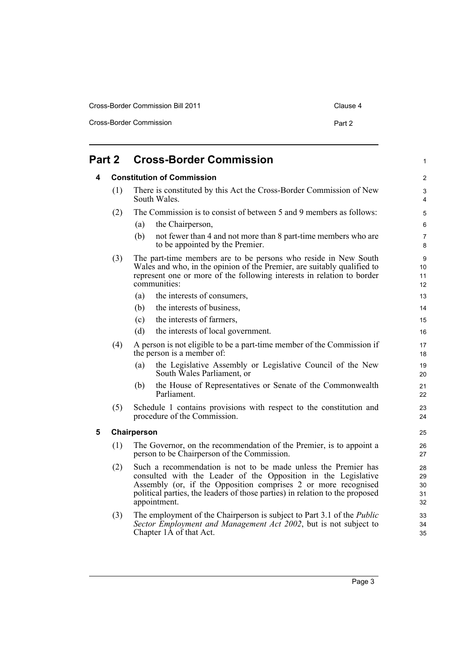| Cross-Border Commission Bill 2011 | Clause 4 |
|-----------------------------------|----------|
| Cross-Border Commission           | Part 2   |

<span id="page-8-2"></span><span id="page-8-1"></span><span id="page-8-0"></span>

| Part 2 |                                                                                                                                                                                                                                             |             | <b>Cross-Border Commission</b>                                                                                                                                                                                                                                                                     | 1                          |
|--------|---------------------------------------------------------------------------------------------------------------------------------------------------------------------------------------------------------------------------------------------|-------------|----------------------------------------------------------------------------------------------------------------------------------------------------------------------------------------------------------------------------------------------------------------------------------------------------|----------------------------|
| 4      | <b>Constitution of Commission</b>                                                                                                                                                                                                           |             | 2                                                                                                                                                                                                                                                                                                  |                            |
|        | (1)                                                                                                                                                                                                                                         |             | There is constituted by this Act the Cross-Border Commission of New<br>South Wales.                                                                                                                                                                                                                | 3<br>4                     |
|        | (2)                                                                                                                                                                                                                                         |             | The Commission is to consist of between 5 and 9 members as follows:                                                                                                                                                                                                                                | 5                          |
|        |                                                                                                                                                                                                                                             | (a)         | the Chairperson,                                                                                                                                                                                                                                                                                   | 6                          |
|        |                                                                                                                                                                                                                                             | (b)         | not fewer than 4 and not more than 8 part-time members who are<br>to be appointed by the Premier.                                                                                                                                                                                                  | 7<br>8                     |
|        | The part-time members are to be persons who reside in New South<br>(3)<br>Wales and who, in the opinion of the Premier, are suitably qualified to<br>represent one or more of the following interests in relation to border<br>communities: |             | 9<br>10<br>11<br>12                                                                                                                                                                                                                                                                                |                            |
|        |                                                                                                                                                                                                                                             | (a)         | the interests of consumers,                                                                                                                                                                                                                                                                        | 13                         |
|        |                                                                                                                                                                                                                                             | (b)         | the interests of business,                                                                                                                                                                                                                                                                         | 14                         |
|        |                                                                                                                                                                                                                                             | (c)         | the interests of farmers,                                                                                                                                                                                                                                                                          | 15                         |
|        |                                                                                                                                                                                                                                             | (d)         | the interests of local government.                                                                                                                                                                                                                                                                 | 16                         |
|        | (4)                                                                                                                                                                                                                                         |             | A person is not eligible to be a part-time member of the Commission if<br>the person is a member of:                                                                                                                                                                                               | 17<br>18                   |
|        |                                                                                                                                                                                                                                             | (a)         | the Legislative Assembly or Legislative Council of the New<br>South Wales Parliament, or                                                                                                                                                                                                           | 19<br>20                   |
|        |                                                                                                                                                                                                                                             | (b)         | the House of Representatives or Senate of the Commonwealth<br>Parliament.                                                                                                                                                                                                                          | 21<br>22                   |
|        | (5)                                                                                                                                                                                                                                         |             | Schedule 1 contains provisions with respect to the constitution and<br>procedure of the Commission.                                                                                                                                                                                                | 23<br>24                   |
| 5      |                                                                                                                                                                                                                                             | Chairperson |                                                                                                                                                                                                                                                                                                    | 25                         |
|        | (1)                                                                                                                                                                                                                                         |             | The Governor, on the recommendation of the Premier, is to appoint a<br>person to be Chairperson of the Commission.                                                                                                                                                                                 | 26<br>27                   |
|        | (2)                                                                                                                                                                                                                                         |             | Such a recommendation is not to be made unless the Premier has<br>consulted with the Leader of the Opposition in the Legislative<br>Assembly (or, if the Opposition comprises 2 or more recognised<br>political parties, the leaders of those parties) in relation to the proposed<br>appointment. | 28<br>29<br>30<br>31<br>32 |
|        | (3)                                                                                                                                                                                                                                         |             | The employment of the Chairperson is subject to Part 3.1 of the <i>Public</i><br>Sector Employment and Management Act 2002, but is not subject to<br>Chapter 1A of that Act.                                                                                                                       | 33<br>34<br>35             |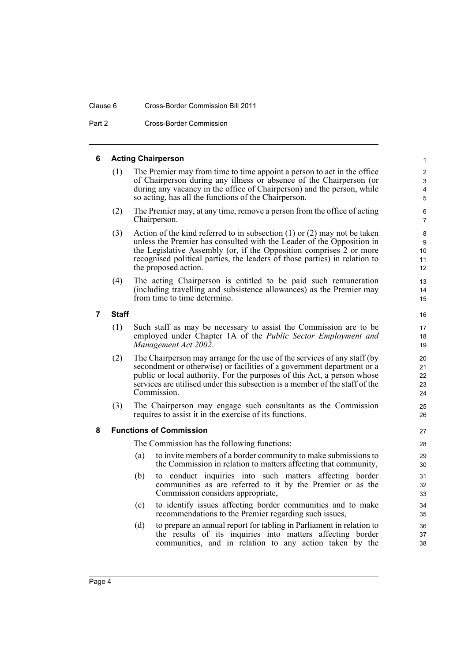#### Clause 6 Cross-Border Commission Bill 2011

Part 2 Cross-Border Commission

#### <span id="page-9-0"></span>**6 Acting Chairperson**

(1) The Premier may from time to time appoint a person to act in the office of Chairperson during any illness or absence of the Chairperson (or during any vacancy in the office of Chairperson) and the person, while so acting, has all the functions of the Chairperson.

- (2) The Premier may, at any time, remove a person from the office of acting Chairperson.
- (3) Action of the kind referred to in subsection (1) or (2) may not be taken unless the Premier has consulted with the Leader of the Opposition in the Legislative Assembly (or, if the Opposition comprises 2 or more recognised political parties, the leaders of those parties) in relation to the proposed action.
- (4) The acting Chairperson is entitled to be paid such remuneration (including travelling and subsistence allowances) as the Premier may from time to time determine.

<span id="page-9-1"></span>**7 Staff**

- (1) Such staff as may be necessary to assist the Commission are to be employed under Chapter 1A of the *Public Sector Employment and Management Act 2002*.
- (2) The Chairperson may arrange for the use of the services of any staff (by secondment or otherwise) or facilities of a government department or a public or local authority. For the purposes of this Act, a person whose services are utilised under this subsection is a member of the staff of the Commission.
- (3) The Chairperson may engage such consultants as the Commission requires to assist it in the exercise of its functions.

#### <span id="page-9-2"></span>**8 Functions of Commission**

The Commission has the following functions:

- (a) to invite members of a border community to make submissions to the Commission in relation to matters affecting that community,
- (b) to conduct inquiries into such matters affecting border communities as are referred to it by the Premier or as the Commission considers appropriate,
- (c) to identify issues affecting border communities and to make recommendations to the Premier regarding such issues,
- (d) to prepare an annual report for tabling in Parliament in relation to the results of its inquiries into matters affecting border communities, and in relation to any action taken by the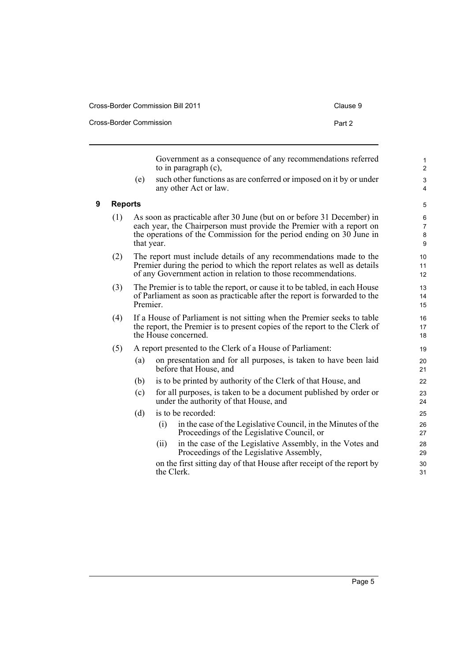| Cross-Border Commission Bill 2011 |        |  |  |  |
|-----------------------------------|--------|--|--|--|
| Cross-Border Commission           | Part 2 |  |  |  |

<span id="page-10-0"></span>**9 Reports**

|                |            |     | Government as a consequence of any recommendations referred<br>to in paragraph $(c)$ ,                                                                                                                                 | 1<br>$\overline{2}$           |
|----------------|------------|-----|------------------------------------------------------------------------------------------------------------------------------------------------------------------------------------------------------------------------|-------------------------------|
|                | (e)        |     | such other functions as are conferred or imposed on it by or under<br>any other Act or law.                                                                                                                            | 3<br>$\overline{4}$           |
| <b>Reports</b> |            |     |                                                                                                                                                                                                                        | 5                             |
| (1)            | that year. |     | As soon as practicable after 30 June (but on or before 31 December) in<br>each year, the Chairperson must provide the Premier with a report on<br>the operations of the Commission for the period ending on 30 June in | 6<br>$\overline{7}$<br>8<br>9 |
| (2)            |            |     | The report must include details of any recommendations made to the<br>Premier during the period to which the report relates as well as details<br>of any Government action in relation to those recommendations.       | 10<br>11<br>12                |
| (3)            | Premier.   |     | The Premier is to table the report, or cause it to be tabled, in each House<br>of Parliament as soon as practicable after the report is forwarded to the                                                               | 13<br>14<br>15                |
| (4)            |            |     | If a House of Parliament is not sitting when the Premier seeks to table<br>the report, the Premier is to present copies of the report to the Clerk of<br>the House concerned.                                          | 16<br>17<br>18                |
| (5)            |            |     | A report presented to the Clerk of a House of Parliament:                                                                                                                                                              | 19                            |
|                | (a)        |     | on presentation and for all purposes, is taken to have been laid<br>before that House, and                                                                                                                             | 20<br>21                      |
|                | (b)        |     | is to be printed by authority of the Clerk of that House, and                                                                                                                                                          | 22                            |
|                | (c)        |     | for all purposes, is taken to be a document published by order or<br>under the authority of that House, and                                                                                                            | 23<br>24                      |
|                | (d)        |     | is to be recorded:                                                                                                                                                                                                     | 25                            |
|                |            | (i) | in the case of the Legislative Council, in the Minutes of the<br>Proceedings of the Legislative Council, or                                                                                                            | 26<br>27                      |
|                |            | (i) | in the case of the Legislative Assembly, in the Votes and<br>Proceedings of the Legislative Assembly,                                                                                                                  | 28<br>29                      |
|                |            |     | on the first sitting day of that House after receipt of the report by<br>the Clerk.                                                                                                                                    | 30<br>31                      |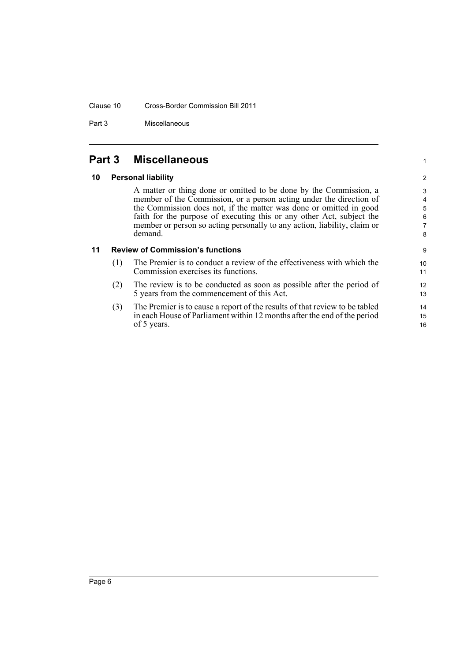#### Clause 10 Cross-Border Commission Bill 2011

Part 3 Miscellaneous

### <span id="page-11-0"></span>**Part 3 Miscellaneous**

#### <span id="page-11-1"></span>**10 Personal liability**

A matter or thing done or omitted to be done by the Commission, a member of the Commission, or a person acting under the direction of the Commission does not, if the matter was done or omitted in good faith for the purpose of executing this or any other Act, subject the member or person so acting personally to any action, liability, claim or demand.

1

#### <span id="page-11-2"></span>**11 Review of Commission's functions**

- (1) The Premier is to conduct a review of the effectiveness with which the Commission exercises its functions.
- (2) The review is to be conducted as soon as possible after the period of 5 years from the commencement of this Act.
- (3) The Premier is to cause a report of the results of that review to be tabled in each House of Parliament within 12 months after the end of the period of 5 years.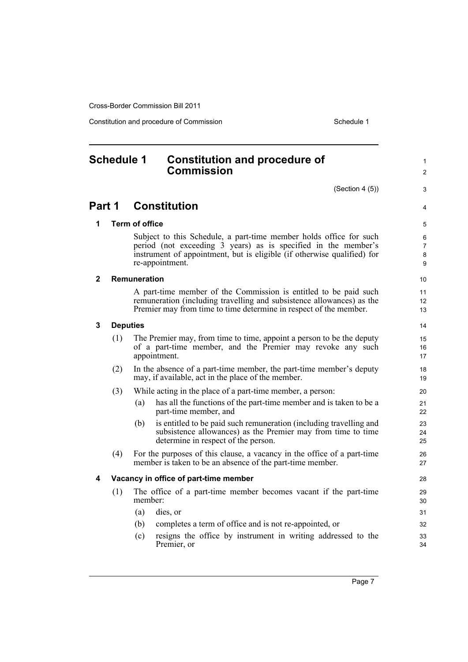Constitution and procedure of Commission Schedule 1

### <span id="page-12-0"></span>**Schedule 1 Constitution and procedure of Commission**

(Section 4 (5))

3 4

1  $\mathfrak{p}$ 

### **Part 1 Constitution**

#### **1 Term of office**

Subject to this Schedule, a part-time member holds office for such period (not exceeding 3 years) as is specified in the member's instrument of appointment, but is eligible (if otherwise qualified) for re-appointment.

#### **2 Remuneration**

A part-time member of the Commission is entitled to be paid such remuneration (including travelling and subsistence allowances) as the Premier may from time to time determine in respect of the member.

#### **3 Deputies**

- (1) The Premier may, from time to time, appoint a person to be the deputy of a part-time member, and the Premier may revoke any such appointment.
- (2) In the absence of a part-time member, the part-time member's deputy may, if available, act in the place of the member.
- (3) While acting in the place of a part-time member, a person:
	- (a) has all the functions of the part-time member and is taken to be a part-time member, and
	- (b) is entitled to be paid such remuneration (including travelling and subsistence allowances) as the Premier may from time to time determine in respect of the person.
- (4) For the purposes of this clause, a vacancy in the office of a part-time member is taken to be an absence of the part-time member.

#### **4 Vacancy in office of part-time member**

- (1) The office of a part-time member becomes vacant if the part-time member:
	- (a) dies, or
	- (b) completes a term of office and is not re-appointed, or
	- (c) resigns the office by instrument in writing addressed to the Premier, or

Page 7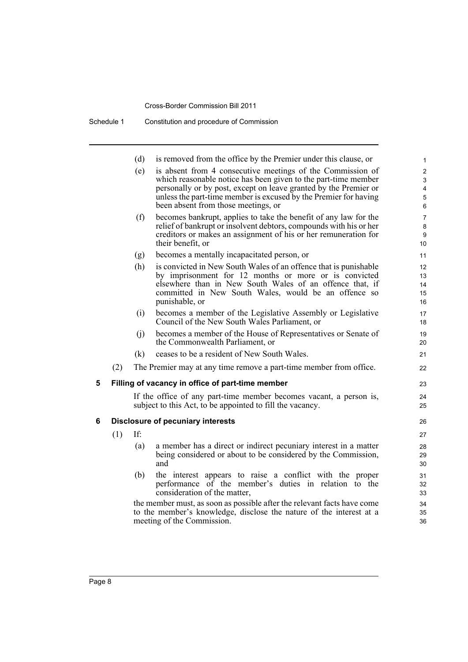|   |     | (d) | is removed from the office by the Premier under this clause, or                                                                                                                                                                                                                                             | 1                                                   |
|---|-----|-----|-------------------------------------------------------------------------------------------------------------------------------------------------------------------------------------------------------------------------------------------------------------------------------------------------------------|-----------------------------------------------------|
|   |     | (e) | is absent from 4 consecutive meetings of the Commission of<br>which reasonable notice has been given to the part-time member<br>personally or by post, except on leave granted by the Premier or<br>unless the part-time member is excused by the Premier for having<br>been absent from those meetings, or | 2<br>3<br>$\overline{4}$<br>$\mathbf 5$<br>6        |
|   |     | (f) | becomes bankrupt, applies to take the benefit of any law for the<br>relief of bankrupt or insolvent debtors, compounds with his or her<br>creditors or makes an assignment of his or her remuneration for<br>their benefit, or                                                                              | $\overline{7}$<br>$\bf 8$<br>$\boldsymbol{9}$<br>10 |
|   |     | (g) | becomes a mentally incapacitated person, or                                                                                                                                                                                                                                                                 | 11                                                  |
|   |     | (h) | is convicted in New South Wales of an offence that is punishable<br>by imprisonment for 12 months or more or is convicted<br>elsewhere than in New South Wales of an offence that, if<br>committed in New South Wales, would be an offence so<br>punishable, or                                             | 12<br>13<br>14<br>15<br>16                          |
|   |     | (i) | becomes a member of the Legislative Assembly or Legislative<br>Council of the New South Wales Parliament, or                                                                                                                                                                                                | 17<br>18                                            |
|   |     | (i) | becomes a member of the House of Representatives or Senate of<br>the Commonwealth Parliament, or                                                                                                                                                                                                            | 19<br>20                                            |
|   |     | (k) | ceases to be a resident of New South Wales.                                                                                                                                                                                                                                                                 | 21                                                  |
|   | (2) |     | The Premier may at any time remove a part-time member from office.                                                                                                                                                                                                                                          | 22                                                  |
| 5 |     |     | Filling of vacancy in office of part-time member                                                                                                                                                                                                                                                            | 23                                                  |
|   |     |     | If the office of any part-time member becomes vacant, a person is,<br>subject to this Act, to be appointed to fill the vacancy.                                                                                                                                                                             | 24<br>25                                            |
| 6 |     |     | <b>Disclosure of pecuniary interests</b>                                                                                                                                                                                                                                                                    | 26                                                  |
|   | (1) | If: |                                                                                                                                                                                                                                                                                                             | 27                                                  |
|   |     | (a) | a member has a direct or indirect pecuniary interest in a matter<br>being considered or about to be considered by the Commission,<br>and                                                                                                                                                                    | 28<br>29<br>30                                      |
|   |     | (b) | the interest appears to raise a conflict with the proper<br>performance of the member's duties in relation to the<br>consideration of the matter,                                                                                                                                                           | 31<br>32<br>33                                      |
|   |     |     | the member must, as soon as possible after the relevant facts have come<br>to the member's knowledge, disclose the nature of the interest at a<br>meeting of the Commission.                                                                                                                                | 34<br>35<br>36                                      |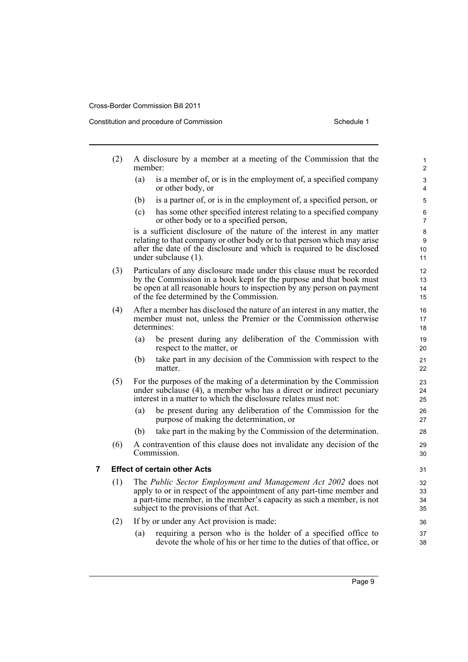Constitution and procedure of Commission Schedule 1

|   | (2) | member: | A disclosure by a member at a meeting of the Commission that the                                                                                                                                                                                                   | 1<br>2               |
|---|-----|---------|--------------------------------------------------------------------------------------------------------------------------------------------------------------------------------------------------------------------------------------------------------------------|----------------------|
|   |     | (a)     | is a member of, or is in the employment of, a specified company<br>or other body, or                                                                                                                                                                               | 3<br>4               |
|   |     | (b)     | is a partner of, or is in the employment of, a specified person, or                                                                                                                                                                                                | 5                    |
|   |     | (c)     | has some other specified interest relating to a specified company<br>or other body or to a specified person,                                                                                                                                                       | 6<br>7               |
|   |     |         | is a sufficient disclosure of the nature of the interest in any matter<br>relating to that company or other body or to that person which may arise<br>after the date of the disclosure and which is required to be disclosed<br>under subclause (1).               | 8<br>9<br>10<br>11   |
|   | (3) |         | Particulars of any disclosure made under this clause must be recorded<br>by the Commission in a book kept for the purpose and that book must<br>be open at all reasonable hours to inspection by any person on payment<br>of the fee determined by the Commission. | 12<br>13<br>14<br>15 |
|   | (4) |         | After a member has disclosed the nature of an interest in any matter, the<br>member must not, unless the Premier or the Commission otherwise<br>determines:                                                                                                        | 16<br>17<br>18       |
|   |     | (a)     | be present during any deliberation of the Commission with<br>respect to the matter, or                                                                                                                                                                             | 19<br>20             |
|   |     | (b)     | take part in any decision of the Commission with respect to the<br>matter.                                                                                                                                                                                         | 21<br>22             |
|   | (5) |         | For the purposes of the making of a determination by the Commission<br>under subclause (4), a member who has a direct or indirect pecuniary<br>interest in a matter to which the disclosure relates must not:                                                      | 23<br>24<br>25       |
|   |     | (a)     | be present during any deliberation of the Commission for the<br>purpose of making the determination, or                                                                                                                                                            | 26<br>27             |
|   |     | (b)     | take part in the making by the Commission of the determination.                                                                                                                                                                                                    | 28                   |
|   | (6) |         | A contravention of this clause does not invalidate any decision of the<br>Commission.                                                                                                                                                                              | 29<br>30             |
| 7 |     |         | <b>Effect of certain other Acts</b>                                                                                                                                                                                                                                | 31                   |
|   | (1) |         | The Public Sector Employment and Management Act 2002 does not<br>apply to or in respect of the appointment of any part-time member and<br>a part-time member, in the member's capacity as such a member, is not<br>subject to the provisions of that Act.          | 32<br>33<br>34<br>35 |
|   | (2) |         | If by or under any Act provision is made:                                                                                                                                                                                                                          | 36                   |
|   |     | (a)     | requiring a person who is the holder of a specified office to<br>devote the whole of his or her time to the duties of that office, or                                                                                                                              | 37<br>38             |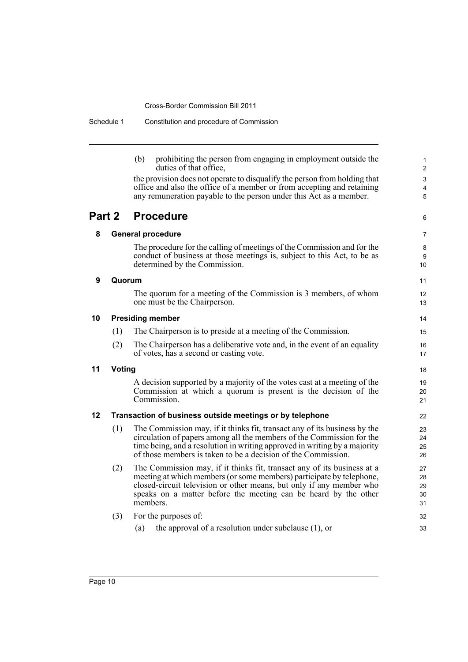| Schedule 1 | Constitution and procedure of Commission |
|------------|------------------------------------------|
|------------|------------------------------------------|

(b) prohibiting the person from engaging in employment outside the duties of that office,

32 33

the provision does not operate to disqualify the person from holding that office and also the office of a member or from accepting and retaining any remuneration payable to the person under this Act as a member.

#### **Part 2 Procedure**

| Part 2 |        | <b>Procedure</b>                                                                                                                                                                                                                                                                                       | 6                          |  |
|--------|--------|--------------------------------------------------------------------------------------------------------------------------------------------------------------------------------------------------------------------------------------------------------------------------------------------------------|----------------------------|--|
| 8      |        | <b>General procedure</b>                                                                                                                                                                                                                                                                               |                            |  |
|        |        | The procedure for the calling of meetings of the Commission and for the<br>conduct of business at those meetings is, subject to this Act, to be as<br>determined by the Commission.                                                                                                                    | 8<br>9<br>10               |  |
| 9      | Quorum |                                                                                                                                                                                                                                                                                                        | 11                         |  |
|        |        | The quorum for a meeting of the Commission is 3 members, of whom<br>one must be the Chairperson.                                                                                                                                                                                                       | 12<br>13                   |  |
| 10     |        | <b>Presiding member</b>                                                                                                                                                                                                                                                                                | 14                         |  |
|        | (1)    | The Chairperson is to preside at a meeting of the Commission.                                                                                                                                                                                                                                          | 15                         |  |
|        | (2)    | The Chairperson has a deliberative vote and, in the event of an equality<br>of votes, has a second or casting vote.                                                                                                                                                                                    | 16<br>17                   |  |
| 11     | Voting |                                                                                                                                                                                                                                                                                                        | 18                         |  |
|        |        | A decision supported by a majority of the votes cast at a meeting of the<br>Commission at which a quorum is present is the decision of the<br>Commission.                                                                                                                                              | 19<br>20<br>21             |  |
| 12     |        | Transaction of business outside meetings or by telephone                                                                                                                                                                                                                                               | 22                         |  |
|        | (1)    | The Commission may, if it thinks fit, transact any of its business by the<br>circulation of papers among all the members of the Commission for the<br>time being, and a resolution in writing approved in writing by a majority<br>of those members is taken to be a decision of the Commission.       | 23<br>24<br>25<br>26       |  |
|        | (2)    | The Commission may, if it thinks fit, transact any of its business at a<br>meeting at which members (or some members) participate by telephone,<br>closed-circuit television or other means, but only if any member who<br>speaks on a matter before the meeting can be heard by the other<br>members. | 27<br>28<br>29<br>30<br>31 |  |

### (3) For the purposes of: (a) the approval of a resolution under subclause (1), or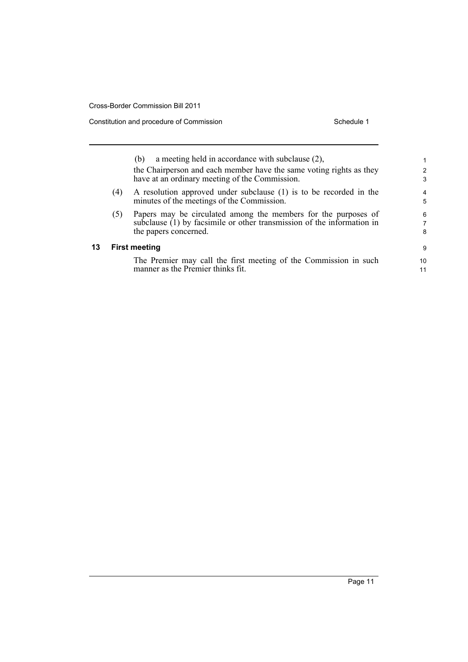**13 First meeting**

Constitution and procedure of Commission Schedule 1

| 1  |
|----|
| 2  |
| 3  |
| 4  |
| 5  |
| 6  |
| 7  |
| 8  |
| 9  |
| 10 |
| 11 |
|    |